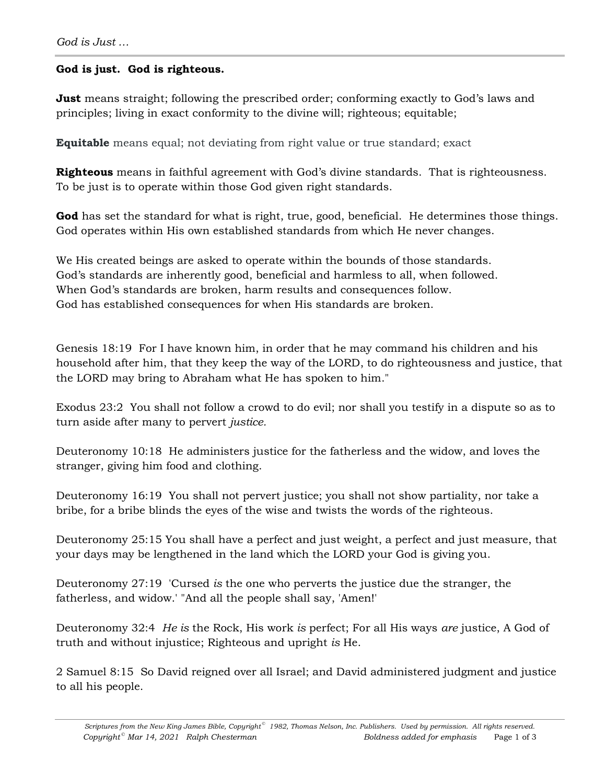## **God is just. God is righteous.**

**Just** means straight; following the prescribed order; conforming exactly to God's laws and principles; living in exact conformity to the divine will; righteous; equitable;

**Equitable** means equal; not deviating from right value or true standard; exact

**Righteous** means in faithful agreement with God's divine standards. That is righteousness. To be just is to operate within those God given right standards.

**God** has set the standard for what is right, true, good, beneficial. He determines those things. God operates within His own established standards from which He never changes.

We His created beings are asked to operate within the bounds of those standards. God's standards are inherently good, beneficial and harmless to all, when followed. When God's standards are broken, harm results and consequences follow. God has established consequences for when His standards are broken.

Genesis 18:19 For I have known him, in order that he may command his children and his household after him, that they keep the way of the LORD, to do righteousness and justice, that the LORD may bring to Abraham what He has spoken to him."

Exodus 23:2 You shall not follow a crowd to do evil; nor shall you testify in a dispute so as to turn aside after many to pervert *justice.*

Deuteronomy 10:18 He administers justice for the fatherless and the widow, and loves the stranger, giving him food and clothing.

Deuteronomy 16:19 You shall not pervert justice; you shall not show partiality, nor take a bribe, for a bribe blinds the eyes of the wise and twists the words of the righteous.

Deuteronomy 25:15 You shall have a perfect and just weight, a perfect and just measure, that your days may be lengthened in the land which the LORD your God is giving you.

Deuteronomy 27:19 'Cursed *is* the one who perverts the justice due the stranger, the fatherless, and widow.' "And all the people shall say, 'Amen!'

Deuteronomy 32:4 *He is* the Rock, His work *is* perfect; For all His ways *are* justice, A God of truth and without injustice; Righteous and upright *is* He.

2 Samuel 8:15 So David reigned over all Israel; and David administered judgment and justice to all his people.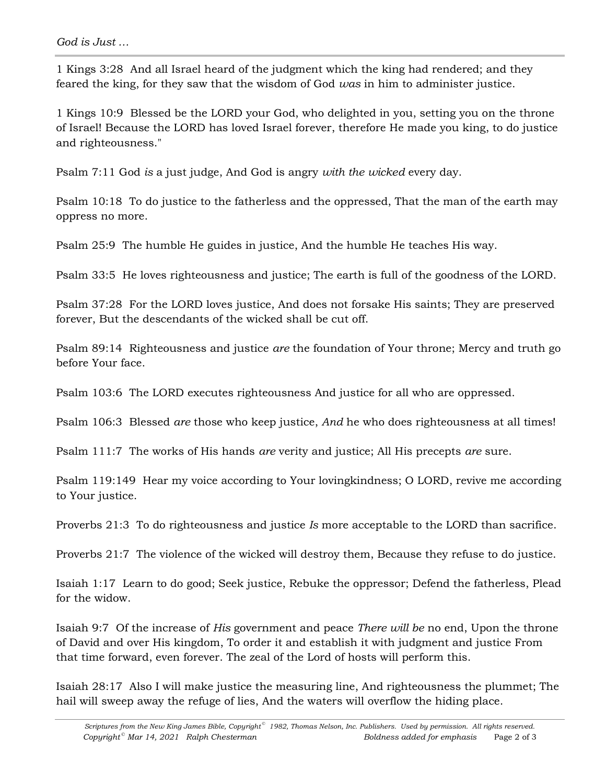1 Kings 3:28 And all Israel heard of the judgment which the king had rendered; and they feared the king, for they saw that the wisdom of God *was* in him to administer justice.

1 Kings 10:9 Blessed be the LORD your God, who delighted in you, setting you on the throne of Israel! Because the LORD has loved Israel forever, therefore He made you king, to do justice and righteousness."

Psalm 7:11 God *is* a just judge, And God is angry *with the wicked* every day.

Psalm 10:18 To do justice to the fatherless and the oppressed, That the man of the earth may oppress no more.

Psalm 25:9 The humble He guides in justice, And the humble He teaches His way.

Psalm 33:5 He loves righteousness and justice; The earth is full of the goodness of the LORD.

Psalm 37:28 For the LORD loves justice, And does not forsake His saints; They are preserved forever, But the descendants of the wicked shall be cut off.

Psalm 89:14 Righteousness and justice *are* the foundation of Your throne; Mercy and truth go before Your face.

Psalm 103:6 The LORD executes righteousness And justice for all who are oppressed.

Psalm 106:3 Blessed *are* those who keep justice, *And* he who does righteousness at all times!

Psalm 111:7 The works of His hands *are* verity and justice; All His precepts *are* sure.

Psalm 119:149 Hear my voice according to Your lovingkindness; O LORD, revive me according to Your justice.

Proverbs 21:3 To do righteousness and justice *Is* more acceptable to the LORD than sacrifice.

Proverbs 21:7 The violence of the wicked will destroy them, Because they refuse to do justice.

Isaiah 1:17 Learn to do good; Seek justice, Rebuke the oppressor; Defend the fatherless, Plead for the widow.

Isaiah 9:7 Of the increase of *His* government and peace *There will be* no end, Upon the throne of David and over His kingdom, To order it and establish it with judgment and justice From that time forward, even forever. The zeal of the Lord of hosts will perform this.

Isaiah 28:17 Also I will make justice the measuring line, And righteousness the plummet; The hail will sweep away the refuge of lies, And the waters will overflow the hiding place.